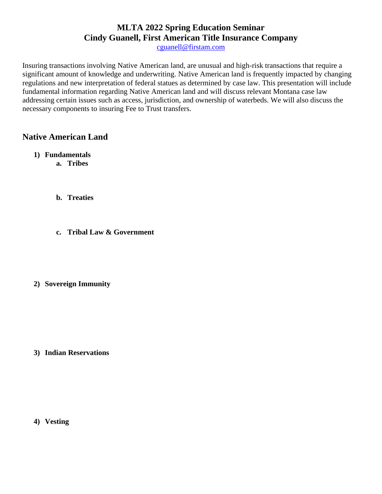# **MLTA 2022 Spring Education Seminar Cindy Guanell, First American Title Insurance Company**

[cguanell@firstam.com](mailto:cguanell@firstam.com)

Insuring transactions involving Native American land, are unusual and high-risk transactions that require a significant amount of knowledge and underwriting. Native American land is frequently impacted by changing regulations and new interpretation of federal statues as determined by case law. This presentation will include fundamental information regarding Native American land and will discuss relevant Montana case law addressing certain issues such as access, jurisdiction, and ownership of waterbeds. We will also discuss the necessary components to insuring Fee to Trust transfers.

# **Native American Land**

- **1) Fundamentals a. Tribes**
	- **b. Treaties**
	- **c. Tribal Law & Government**

# **2) Sovereign Immunity**

**3) Indian Reservations**

**4) Vesting**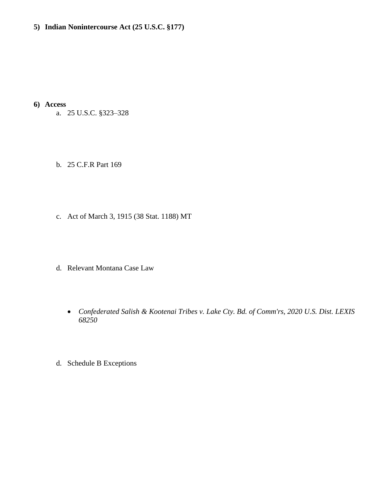# **5) Indian Nonintercourse Act (25 U.S.C. §177)**

**6) Access**

- a. 25 U.S.C. §323–328
- b. 25 C.F.R Part 169
- c. Act of March 3, 1915 (38 Stat. 1188) MT
- d. Relevant Montana Case Law
	- *[Confederated Salish & Kootenai Tribes v. Lake Cty. Bd. of Comm'rs, 2020 U.S. Dist. LEXIS](https://advance.lexis.com/api/document/collection/cases/id/5YP4-WNJ1-JSJC-X2V5-00000-00?cite=2020%20U.S.%20Dist.%20LEXIS%2068250&context=1000516)  [68250](https://advance.lexis.com/api/document/collection/cases/id/5YP4-WNJ1-JSJC-X2V5-00000-00?cite=2020%20U.S.%20Dist.%20LEXIS%2068250&context=1000516)*
- d. Schedule B Exceptions